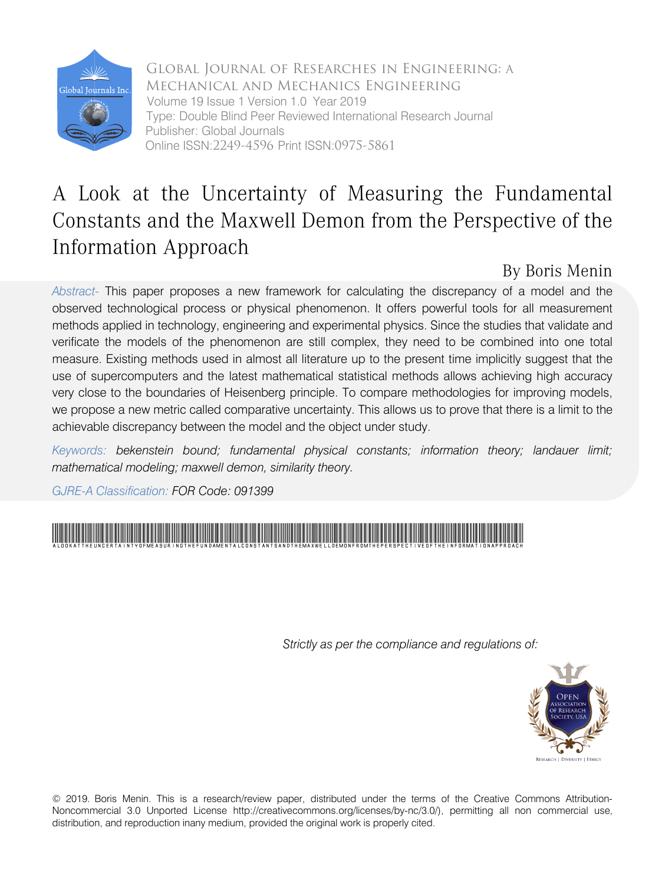

Global Journal of Researches in Engineering: A Mechanical and Mechanics Engineering Volume 19 Issue 1 Version 1.0 Year 2019 Type: Double Blind Peer Reviewed International Research Journal Publisher: Global Journals Online ISSN:2249-4596 Print ISSN:0975-5861

## A Look at the Uncertainty of Measuring the Fundamental Constants and the Maxwell Demon from the Perspective of the Information Approach

### By Boris Menin

*Abstract-* This paper proposes a new framework for calculating the discrepancy of a model and the observed technological process or physical phenomenon. It offers powerful tools for all measurement methods applied in technology, engineering and experimental physics. Since the studies that validate and verificate the models of the phenomenon are still complex, they need to be combined into one total measure. Existing methods used in almost all literature up to the present time implicitly suggest that the use of supercomputers and the latest mathematical statistical methods allows achieving high accuracy very close to the boundaries of Heisenberg principle. To compare methodologies for improving models, we propose a new metric called comparative uncertainty. This allows us to prove that there is a limit to the achievable discrepancy between the model and the object under study.

*Keywords: bekenstein bound; fundamental physical constants; information theory; landauer limit; mathematical modeling; maxwell demon, similarity theory.*

*GJRE-A Classification: FOR Code: 091399*



 *Strictly as per the compliance and regulations of:*



© 2019. Boris Menin. This is a research/review paper, distributed under the terms of the Creative Commons Attribution-Noncommercial 3.0 Unported License http://creativecommons.org/licenses/by-nc/3.0/), permitting all non commercial use, distribution, and reproduction inany medium, provided the original work is properly cited.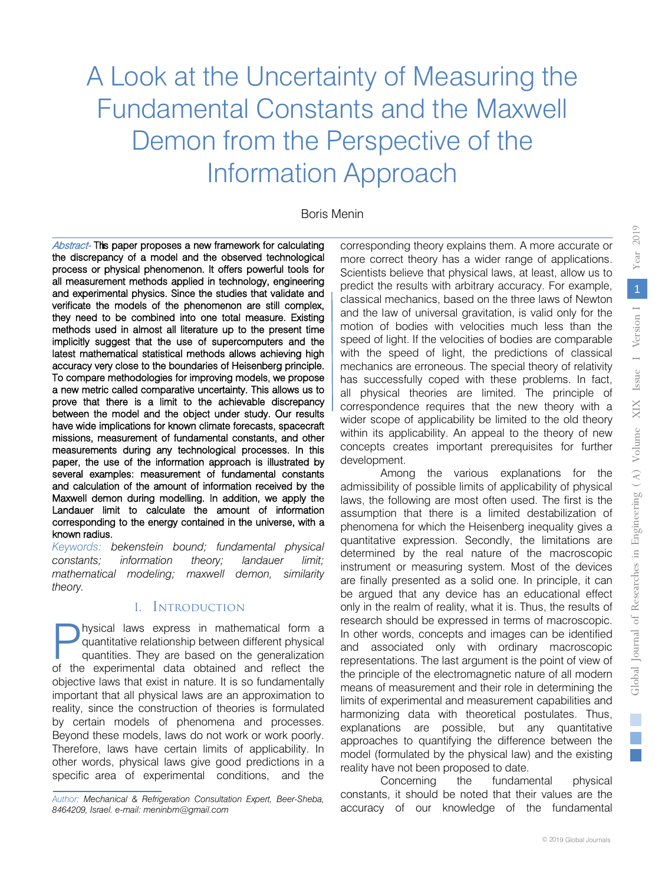# A Look at the Uncertainty of Measuring the Fundamental Constants and the Maxwell Demon from the Perspective of the Information Approach

#### Boris Menin

Abstract- This paper proposes a new framework for calculating the discrepancy of a model and the observed technological process or physical phenomenon. It offers powerful tools for all measurement methods applied in technology, engineering and experimental physics. Since the studies that validate and verificate the models of the phenomenon are still complex, they need to be combined into one total measure. Existing methods used in almost all literature up to the present time implicitly suggest that the use of supercomputers and the latest mathematical statistical methods allows achieving high accuracy very close to the boundaries of Heisenberg principle. To compare methodologies for improving models, we propose a new metric called comparative uncertainty. This allows us to prove that there is a limit to the achievable discrepancy between the model and the object under study. Our results have wide implications for known climate forecasts, spacecraft missions, measurement of fundamental constants, and other measurements during any technological processes. In this paper, the use of the information approach is illustrated by several examples: measurement of fundamental constants and calculation of the amount of information received by the Maxwell demon during modelling. In addition, we apply the Landauer limit to calculate the amount of information corresponding to the energy contained in the universe, with a known radius.

*Keywords: bekenstein bound; fundamental physical constants; information theory; landauer limit; mathematical modeling; maxwell demon, similarity theory.*

#### I. Introduction

hysical laws express in mathematical form a quantitative relationship between different physical quantities. They are based on the generalization **O**hysical laws express in mathematical form a quantitative relationship between different physical quantities. They are based on the generalization of the experimental data obtained and reflect the objective laws that exist in nature. It is so fundamentally important that all physical laws are an approximation to reality, since the construction of theories is formulated by certain models of phenomena and processes. Beyond these models, laws do not work or work poorly. Therefore, laws have certain limits of applicability. In other words, physical laws give good predictions in a specific area of experimental conditions, and the

corresponding theory explains them. A more accurate or more correct theory has a wider range of applications. Scientists believe that physical laws, at least, allow us to predict the results with arbitrary accuracy. For example, classical mechanics, based on the three laws of Newton and the law of universal gravitation, is valid only for the motion of bodies with velocities much less than the speed of light. If the velocities of bodies are comparable with the speed of light, the predictions of classical mechanics are erroneous. The special theory of relativity has successfully coped with these problems. In fact, all physical theories are limited. The principle of correspondence requires that the new theory with a wider scope of applicability be limited to the old theory within its applicability. An appeal to the theory of new concepts creates important prerequisites for further development.

Among the various explanations for the admissibility of possible limits of applicability of physical laws, the following are most often used. The first is the assumption that there is a limited destabilization of phenomena for which the Heisenberg inequality gives a quantitative expression. Secondly, the limitations are determined by the real nature of the macroscopic instrument or measuring system. Most of the devices are finally presented as a solid one. In principle, it can be argued that any device has an educational effect only in the realm of reality, what it is. Thus, the results of research should be expressed in terms of macroscopic. In other words, concepts and images can be identified and associated only with ordinary macroscopic representations. The last argument is the point of view of the principle of the electromagnetic nature of all modern means of measurement and their role in determining the limits of experimental and measurement capabilities and harmonizing data with theoretical postulates. Thus, explanations are possible, but any quantitative approaches to quantifying the difference between the model (formulated by the physical law) and the existing reality have not been proposed to date.

Concerning the fundamental physical constants, it should be noted that their values are the accuracy of our knowledge of the fundamental 2019

Year

*Author: Mechanical & Refrigeration Consultation Expert, Beer-Sheba, 8464209, Israel. e-mail: meninbm@gmail.com*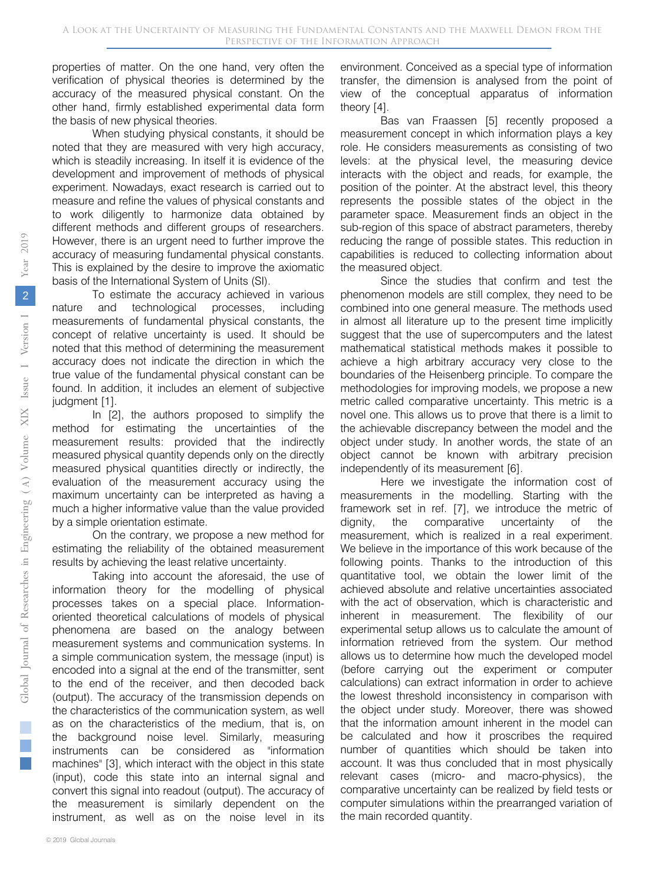properties of matter. On the one hand, very often the verification of physical theories is determined by the accuracy of the measured physical constant. On the other hand, firmly established experimental data form the basis of new physical theories.

When studying physical constants, it should be noted that they are measured with very high accuracy, which is steadily increasing. In itself it is evidence of the development and improvement of methods of physical experiment. Nowadays, exact research is carried out to measure and refine the values of physical constants and to work diligently to harmonize data obtained by different methods and different groups of researchers. However, there is an urgent need to further improve the accuracy of measuring fundamental physical constants. This is explained by the desire to improve the axiomatic basis of the International System of Units (SI).

To estimate the accuracy achieved in various nature and technological processes, including measurements of fundamental physical constants, the concept of relative uncertainty is used. It should be noted that this method of determining the measurement accuracy does not indicate the direction in which the true value of the fundamental physical constant can be found. In addition, it includes an element of subjective judgment [1].

In [2], the authors proposed to simplify the method for estimating the uncertainties of the measurement results: provided that the indirectly measured physical quantity depends only on the directly measured physical quantities directly or indirectly, the evaluation of the measurement accuracy using the maximum uncertainty can be interpreted as having a much a higher informative value than the value provided by a simple orientation estimate.

On the contrary, we propose a new method for estimating the reliability of the obtained measurement results by achieving the least relative uncertainty.

Taking into account the aforesaid, the use of information theory for the modelling of physical processes takes on a special place. Informationoriented theoretical calculations of models of physical phenomena are based on the analogy between measurement systems and communication systems. In a simple communication system, the message (input) is encoded into a signal at the end of the transmitter, sent to the end of the receiver, and then decoded back (output). The accuracy of the transmission depends on the characteristics of the communication system, as well as on the characteristics of the medium, that is, on the background noise level. Similarly, measuring instruments can be considered as "information machines" [3], which interact with the object in this state (input), code this state into an internal signal and convert this signal into readout (output). The accuracy of the measurement is similarly dependent on the instrument, as well as on the noise level in its

environment. Conceived as a special type of information transfer, the dimension is analysed from the point of view of the conceptual apparatus of information theory [4].

Bas van Fraassen [5] recently proposed a measurement concept in which information plays a key role. He considers measurements as consisting of two levels: at the physical level, the measuring device interacts with the object and reads, for example, the position of the pointer. At the abstract level, this theory represents the possible states of the object in the parameter space. Measurement finds an object in the sub-region of this space of abstract parameters, thereby reducing the range of possible states. This reduction in capabilities is reduced to collecting information about the measured object.

Since the studies that confirm and test the phenomenon models are still complex, they need to be combined into one general measure. The methods used in almost all literature up to the present time implicitly suggest that the use of supercomputers and the latest mathematical statistical methods makes it possible to achieve a high arbitrary accuracy very close to the boundaries of the Heisenberg principle. To compare the methodologies for improving models, we propose a new metric called comparative uncertainty. This metric is a novel one. This allows us to prove that there is a limit to the achievable discrepancy between the model and the object under study. In another words, the state of an object cannot be known with arbitrary precision independently of its measurement [6].

Here we investigate the information cost of measurements in the modelling. Starting with the framework set in ref. [7], we introduce the metric of dignity, the comparative uncertainty of the measurement, which is realized in a real experiment. We believe in the importance of this work because of the following points. Thanks to the introduction of this quantitative tool, we obtain the lower limit of the achieved absolute and relative uncertainties associated with the act of observation, which is characteristic and inherent in measurement. The flexibility of our experimental setup allows us to calculate the amount of information retrieved from the system. Our method allows us to determine how much the developed model (before carrying out the experiment or computer calculations) can extract information in order to achieve the lowest threshold inconsistency in comparison with the object under study. Moreover, there was showed that the information amount inherent in the model can be calculated and how it proscribes the required number of quantities which should be taken into account. It was thus concluded that in most physically relevant cases (micro- and macro-physics), the comparative uncertainty can be realized by field tests or computer simulations within the prearranged variation of the main recorded quantity.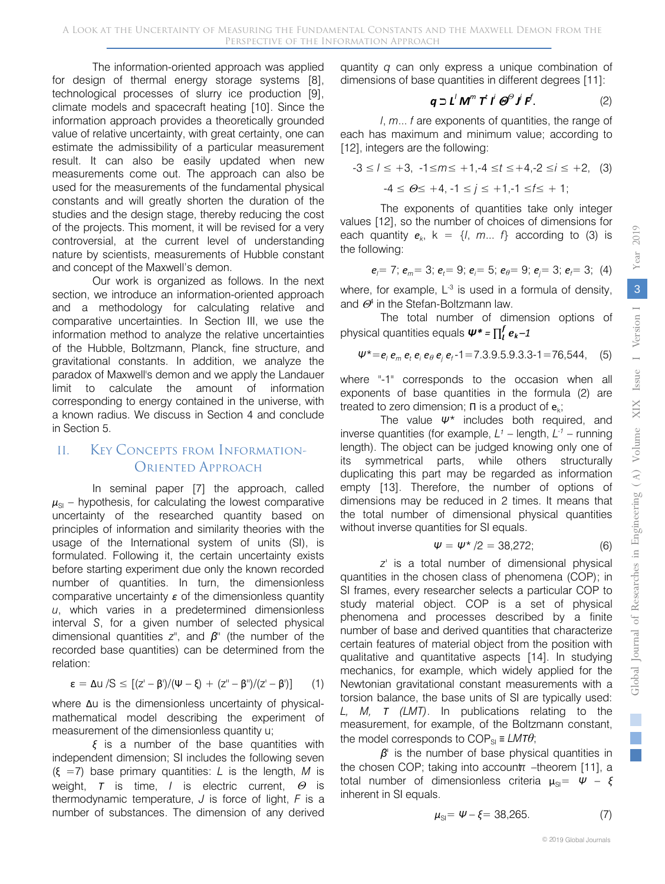The information-oriented approach was applied for design of thermal energy storage systems [8], technological processes of slurry ice production [9], climate models and spacecraft heating [10]. Since the information approach provides a theoretically grounded value of relative uncertainty, with great certainty, one can estimate the admissibility of a particular measurement result. It can also be easily updated when new measurements come out. The approach can also be used for the measurements of the fundamental physical constants and will greatly shorten the duration of the studies and the design stage, thereby reducing the cost of the projects. This moment, it will be revised for a very controversial, at the current level of understanding nature by scientists, measurements of Hubble constant and concept of the Maxwell's demon.

Our work is organized as follows. In the next section, we introduce an information-oriented approach and a methodology for calculating relative and comparative uncertainties. In Section III, we use the information method to analyze the relative uncertainties of the Hubble, Boltzmann, Planck, fine structure, and gravitational constants. In addition, we analyze the paradox of Maxwell's demon and we apply the Landauer limit to calculate the amount of information corresponding to energy contained in the universe, with a known radius. We discuss in Section 4 and conclude in Section 5.

#### II. Key Concepts from Information-ORIENTED APPROACH

 $\mu_{\rm SI}$  – hypothesis, for calculating the lowest comparative uncertainty of the researched quantity based on principles of information and similarity theories with the usage of the International system of units (SI), is formulated. Following it, the certain uncertainty exists before starting experiment due only the known recorded number of quantities. In turn, the dimensionless comparative uncertainty *ε* of the dimensionless quantity *u*, which varies in a predetermined dimensionless interval *S*, for a given number of selected physical dimensional quantities *z''*, and *β''* (the number of the recorded base quantities) can be determined from the relation: In seminal paper [7] the approach, called

$$
\epsilon = \Delta u /S \leq [(z'-\beta')/(\Psi-\xi) + (z''-\beta'')/(z'-\beta')] \qquad (1)
$$

where Δu is the dimensionless uncertainty of physicalmathematical model describing the experiment of measurement of the dimensionless quantity u;

*ξ* is a number of the base quantities with independent dimension; SI includes the following seven (ξ =7) base primary quantities: *L* is the length, *M* is weight, *Т* is time, *I* is electric current, <sup>Θ</sup> is thermodynamic temperature, *J* is force of light, *F* is a number of substances. The dimension of any derived

quantity *q* can only express a unique combination of dimensions of base quantities in different degrees [11]:

$$
\mathbf{q} \supset \mathbf{L}^{\prime} \mathbf{M}^m \mathbf{T}^t \mathbf{I}^i \mathbf{\Theta}^{\Theta} \mathbf{J}^i \mathbf{F}^f. \tag{2}
$$

*l*, *m*... *f* are exponents of quantities, the range of each has maximum and minimum value; according to [12], integers are the following:

$$
-3 \le l \le +3, \quad -1 \le m \le +1, -4 \le t \le +4, -2 \le i \le +2, \quad (3)
$$
  

$$
-4 \le \Theta \le +4, -1 \le j \le +1, -1 \le t \le +1;
$$

The exponents of quantities take only integer values [12], so the number of choices of dimensions for each quantity  $e_k$ ,  $k = \{l, m... 1\}$  according to (3) is the following:

$$
e_i = 7; e_m = 3; e_i = 9; e_i = 5; e_\theta = 9; e_i = 3; e_i = 3; (4)
$$

where, for example,  $L^{-3}$  is used in a formula of density, and  $\Theta^4$  in the Stefan-Boltzmann law.

The total number of dimension options of physical quantities equals *Ψ\* =* ∏ *<sup>k</sup> –1* 

$$
\Psi^* = e_i \, e_m \, e_t \, e_i \, e_\theta \, e_j \, e_t - 1 = 7.3.9.5.9.3.3 - 1 = 76,544, \quad (5)
$$

where "-1" corresponds to the occasion when all exponents of base quantities in the formula (2) are treated to zero dimension;  $\Pi$  is a product of  $e_k$ ;

The value *Ψ\** includes both required, and inverse quantities (for example,  $L^{\gamma}$  – length,  $L^{-\gamma}$  – running length). The object can be judged knowing only one of its symmetrical parts, while others structurally duplicating this part may be regarded as information empty [13]. Therefore, the number of options of dimensions may be reduced in 2 times. It means that the total number of dimensional physical quantities without inverse quantities for SI equals.

$$
\Psi = \Psi^* / 2 = 38,272; \tag{6}
$$

*z'* is a total number of dimensional physical quantities in the chosen class of phenomena (COP); in SI frames, every researcher selects a particular COP to study material object. COP is a set of physical phenomena and processes described by a finite number of base and derived quantities that characterize certain features of material object from the position with qualitative and quantitative aspects [14]. In studying mechanics, for example, which widely applied for the Newtonian gravitational constant measurements with a torsion balance, the base units of SI are typically used: *L, M, Т (LMT)*. In publications relating to the measurement, for example, of the Boltzmann constant, the model corresponds to  $COP_{\rm SI} \equiv LMT\theta$ ;

*β'* is the number of base physical quantities in the chosen COP; taking into account  $t$  –theorem [11], a total number of dimensionless criteria  $\mu_{\text{S}} = \Psi - \xi$ inherent in SI equals.

$$
\mu_{\text{SI}} = \Psi - \xi = 38,265. \tag{7}
$$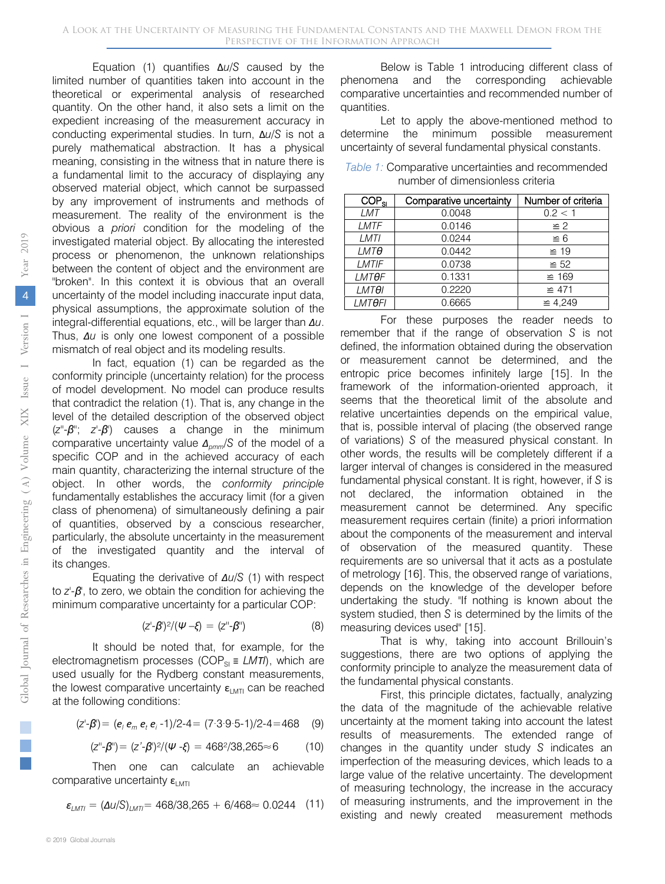Equation (1) quantifies Δ*u*/*S* caused by the limited number of quantities taken into account in the theoretical or experimental analysis of researched quantity. On the other hand, it also sets a limit on the expedient increasing of the measurement accuracy in conducting experimental studies. In turn, Δ*u*/*S* is not a purely mathematical abstraction. It has a physical meaning, consisting in the witness that in nature there is a fundamental limit to the accuracy of displaying any observed material object, which cannot be surpassed by any improvement of instruments and methods of measurement. The reality of the environment is the obvious a *priori* condition for the modeling of the investigated material object. By allocating the interested process or phenomenon, the unknown relationships between the content of object and the environment are "broken". In this context it is obvious that an overall uncertainty of the model including inaccurate input data, physical assumptions, the approximate solution of the integral-differential equations, etc., will be larger than *Δu*. Thus, *Δu* is only one lowest component of a possible mismatch of real object and its modeling results.

In fact, equation (1) can be regarded as the conformity principle (uncertainty relation) for the process of model development. No model can produce results that contradict the relation (1). That is, any change in the level of the detailed description of the observed object (*z''*-*β''*; *z'*-*β'*) causes a change in the minimum comparative uncertainty value *Δpmm*/*S* of the model of a specific COP and in the achieved accuracy of each main quantity, characterizing the internal structure of the object. In other words, the *conformity principle* fundamentally establishes the accuracy limit (for a given class of phenomena) of simultaneously defining a pair of quantities, observed by a conscious researcher, particularly, the absolute uncertainty in the measurement of the investigated quantity and the interval of its changes.

Equating the derivative of *Δu/S* (1) with respect to *z'*-*β'*, to zero, we obtain the condition for achieving the minimum comparative uncertainty for a particular COP:

$$
(z'-\beta')^2/(\psi-\xi) = (z''-\beta'')
$$
 (8)

It should be noted that, for example, for the electromagnetism processes (COP<sub>SI</sub> ≡ *LMTI*), which are used usually for the Rydberg constant measurements, the lowest comparative uncertainty  $\varepsilon_{\text{LMTI}}$  can be reached at the following conditions:

$$
(z'-\beta') = (e_1 e_m e_t e_i - 1)/2 - 4 = (7 \cdot 3 \cdot 9 \cdot 5 - 1)/2 - 4 = 468 \quad (9)
$$

$$
(z'' - \beta'') = (z' - \beta')^2 / (\psi - \xi) = 468^2 / 38,265 \approx 6
$$
 (10)

Then one can calculate an achievable<br>htive.upportaint.com comparative uncertainty  $\varepsilon_{\text{LMT}}$ 

$$
\varepsilon_{LMTI} = (\Delta U/S)_{LMTI} = 468/38,265 + 6/468 \approx 0.0244 \quad (11)
$$

Below is Table 1 introducing different class of phenomena and the corresponding achievable comparative uncertainties and recommended number of quantities.

Let to apply the above-mentioned method to determine the minimum possible measurement uncertainty of several fundamental physical constants.

| <i>Table 1:</i> Comparative uncertainties and recommended |
|-----------------------------------------------------------|
| number of dimensionless criteria                          |

| $COP_{\rm SI}$ | Comparative uncertainty | Number of criteria |
|----------------|-------------------------|--------------------|
| LMT            | 0.0048                  | 0.2 < 1            |
| LMTF           | 0.0146                  | $\geq$ 2           |
| LMTI           | 0.0244                  | $\leq 6$           |
| <i>LMTO</i>    | 0.0442                  | $\cong$ 19         |
| LMTIF          | 0.0738                  | $\leq 52$          |
| <b>LMTOF</b>   | 0.1331                  | $\cong$ 169        |
| <b>LMTOI</b>   | 0.2220                  | $\cong$ 471        |
| <b>LMTOFI</b>  | 0.6665                  | $\cong$ 4,249      |

For these purposes the reader needs to remember that if the range of observation *S* is not defined, the information obtained during the observation or measurement cannot be determined, and the entropic price becomes infinitely large [15]. In the framework of the information-oriented approach, it seems that the theoretical limit of the absolute and relative uncertainties depends on the empirical value, that is, possible interval of placing (the observed range of variations) *S* of the measured physical constant. In other words, the results will be completely different if a larger interval of changes is considered in the measured fundamental physical constant. It is right, however, if *S* is not declared, the information obtained in the measurement cannot be determined. Any specific measurement requires certain (finite) a priori information about the components of the measurement and interval of observation of the measured quantity. These requirements are so universal that it acts as a postulate of metrology [16]. This, the observed range of variations, depends on the knowledge of the developer before undertaking the study. "If nothing is known about the system studied, then *S* is determined by the limits of the measuring devices used" [15].

That is why, taking into account Brillouin's suggestions, there are two options of applying the conformity principle to analyze the measurement data of the fundamental physical constants.

First, this principle dictates, factually, analyzing the data of the magnitude of the achievable relative uncertainty at the moment taking into account the latest results of measurements. The extended range of changes in the quantity under study *S* indicates an imperfection of the measuring devices, which leads to a large value of the relative uncertainty. The development of measuring technology, the increase in the accuracy of measuring instruments, and the improvement in the existing and newly created measurement methods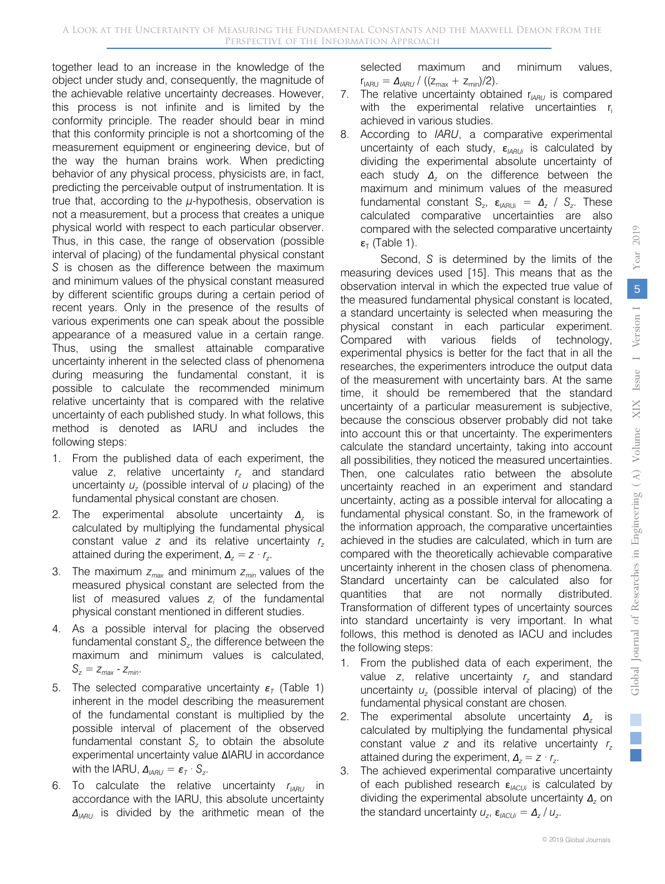together lead to an increase in the knowledge of the object under study and, consequently, the magnitude of the achievable relative uncertainty decreases. However, this process is not infinite and is limited by the conformity principle. The reader should bear in mind that this conformity principle is not a shortcoming of the measurement equipment or engineering device, but of the way the human brains work. When predicting behavior of any physical process, physicists are, in fact, predicting the perceivable output of instrumentation. It is true that, according to the *µ*-hypothesis, observation is not a measurement, but a process that creates a unique physical world with respect to each particular observer. Thus, in this case, the range of observation (possible interval of placing) of the fundamental physical constant *S* is chosen as the difference between the maximum and minimum values of the physical constant measured by different scientific groups during a certain period of recent years. Only in the presence of the results of various experiments one can speak about the possible appearance of a measured value in a certain range. Thus, using the smallest attainable comparative uncertainty inherent in the selected class of phenomena during measuring the fundamental constant, it is possible to calculate the recommended minimum relative uncertainty that is compared with the relative uncertainty of each published study. In what follows, this method is denoted as IARU and includes the following steps:

- 1. From the published data of each experiment, the value *z*, relative uncertainty  $r<sub>z</sub>$  and standard uncertainty *uz* (possible interval of *u* placing) of the fundamental physical constant are chosen.
- 2. The experimental absolute uncertainty *Δ<sup>z</sup>* is calculated by multiplying the fundamental physical constant value *z* and its relative uncertainty *rz* attained during the experiment,  $\Delta_z = z \cdot r_z$ .
- 3. The maximum *zmax* and minimum *zmin* values of the measured physical constant are selected from the list of measured values  $z_i$  of the fundamental physical constant mentioned in different studies.
- 4. As a possible interval for placing the observed fundamental constant  $S_{z}$ , the difference between the maximum and minimum values is calculated,  $S_z = Z_{max} - Z_{min}$ .
- 5. The selected comparative uncertainty *ε<sup>T</sup>* (Table 1) inherent in the model describing the measurement of the fundamental constant is multiplied by the possible interval of placement of the observed fundamental constant  $S<sub>z</sub>$  to obtain the absolute experimental uncertainty value ΔIARU in accordance with the IARU,  $\Delta_{IARU} = \varepsilon_T \cdot S_z$ .
- 6. To calculate the relative uncertainty  $r_{IARI}$  in accordance with the IARU, this absolute uncertainty *ΔIARU* is divided by the arithmetic mean of the

selected maximum and minimum values,  $r_{IARI} = \Delta_{IARI} / ((z_{max} + z_{min})/2).$ 

- 7. The relative uncertainty obtained r<sub>IARU</sub> is compared with the experimental relative uncertainties  $r_i$ achieved in various studies.
- 8. According to *IARU*, a comparative experimental uncertainty of each study, ε<sub>IARUi</sub> is calculated by dividing the experimental absolute uncertainty of each study *Δ<sup>z</sup>* on the difference between the maximum and minimum values of the measured fundamental constant  $S_z$ ,  $\varepsilon_{IARUi} = \Delta_z / S_z$ . These calculated comparative uncertainties are also compared with the selected comparative uncertainty  $\epsilon$ <sub>T</sub> (Table 1).

Second, *S* is determined by the limits of the measuring devices used [15]. This means that as the observation interval in which the expected true value of the measured fundamental physical constant is located, a standard uncertainty is selected when measuring the physical constant in each particular experiment. Compared with various fields of technology, experimental physics is better for the fact that in all the researches, the experimenters introduce the output data of the measurement with uncertainty bars. At the same time, it should be remembered that the standard uncertainty of a particular measurement is subjective, because the conscious observer probably did not take into account this or that uncertainty. The experimenters calculate the standard uncertainty, taking into account all possibilities, they noticed the measured uncertainties. Then, one calculates ratio between the absolute uncertainty reached in an experiment and standard uncertainty, acting as a possible interval for allocating a fundamental physical constant. So, in the framework of the information approach, the comparative uncertainties achieved in the studies are calculated, which in turn are compared with the theoretically achievable comparative uncertainty inherent in the chosen class of phenomena. Standard uncertainty can be calculated also for quantities that are not normally distributed. Transformation of different types of uncertainty sources into standard uncertainty is very important. In what follows, this method is denoted as IACU and includes the following steps:

- 1. From the published data of each experiment, the value *z*, relative uncertainty *r<sub>z</sub>* and standard uncertainty  $u<sub>z</sub>$  (possible interval of placing) of the fundamental physical constant are chosen.
- 2. The experimental absolute uncertainty *Δ<sup>z</sup>* is calculated by multiplying the fundamental physical constant value *z* and its relative uncertainty *rz* attained during the experiment,  $\Delta_z = z \cdot r_z$ .
- 3. The achieved experimental comparative uncertainty of each published research ε*IACUi* is calculated by dividing the experimental absolute uncertainty *Δ<sup>z</sup>* on the standard uncertainty  $u_z$ ,  $\epsilon_{\text{ACUii}} = \Delta_z / u_z$ .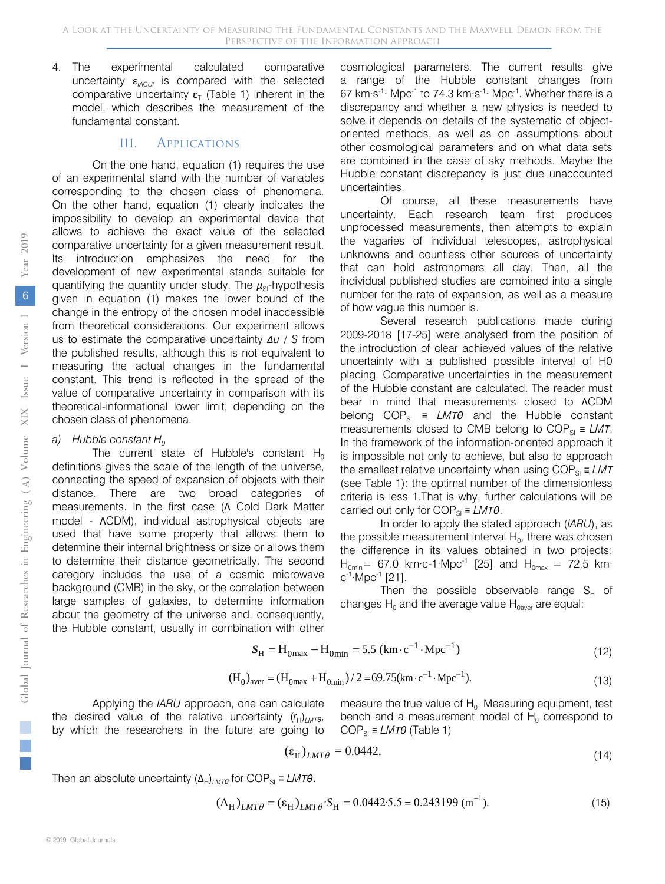4. The experimental calculated comparative uncertainty  $\varepsilon_{ACUi}$  is compared with the selected comparative uncertainty  $\epsilon_T$  (Table 1) inherent in the model, which describes the measurement of the fundamental constant.

#### III. Applications

On the one hand, equation (1) requires the use of an experimental stand with the number of variables corresponding to the chosen class of phenomena. On the other hand, equation (1) clearly indicates the impossibility to develop an experimental device that allows to achieve the exact value of the selected comparative uncertainty for a given measurement result. Its introduction emphasizes the need for the development of new experimental stands suitable for quantifying the quantity under study. The *μ*<sub>SI</sub>-hypothesis given in equation (1) makes the lower bound of the change in the entropy of the chosen model inaccessible from theoretical considerations. Our experiment allows us to estimate the comparative uncertainty *Δu* / *S* from the published results, although this is not equivalent to measuring the actual changes in the fundamental constant. This trend is reflected in the spread of the value of comparative uncertainty in comparison with its theoretical-informational lower limit, depending on the chosen class of phenomena.

#### *a*) *Hubble constant H*<sub>0</sub>

The current state of Hubble's constant  $H_0$ definitions gives the scale of the length of the universe, connecting the speed of expansion of objects with their distance. There are two broad categories of measurements. In the first case (Λ Cold Dark Matter model - ΛCDM), individual astrophysical objects are used that have some property that allows them to determine their internal brightness or size or allows them to determine their distance geometrically. The second category includes the use of a cosmic microwave background (CMB) in the sky, or the correlation between large samples of galaxies, to determine information about the geometry of the universe and, consequently, the Hubble constant, usually in combination with other

cosmological parameters. The current results give a range of the Hubble constant changes from 67 km·s-1· Mpc-1 to 74.3 km·s-1· Mpc-1. Whether there is a discrepancy and whether a new physics is needed to solve it depends on details of the systematic of objectoriented methods, as well as on assumptions about other cosmological parameters and on what data sets are combined in the case of sky methods. Maybe the Hubble constant discrepancy is just due unaccounted uncertainties.

Of course, all these measurements have uncertainty. Each research team first produces unprocessed measurements, then attempts to explain the vagaries of individual telescopes, astrophysical unknowns and countless other sources of uncertainty that can hold astronomers all day. Then, all the individual published studies are combined into a single number for the rate of expansion, as well as a measure of how vague this number is.

Several research publications made during 2009-2018 [17-25] were analysed from the position of the introduction of clear achieved values of the relative uncertainty with a published possible interval of H0 placing. Comparative uncertainties in the measurement of the Hubble constant are calculated. The reader must bear in mind that measurements closed to ΛCDM belong COP<sub>SI</sub> ≡ *LMTθ* and the Hubble constant measurements closed to CMB belong to  $COP_{\text{SI}} \equiv LMT$ . In the framework of the information-oriented approach it is impossible not only to achieve, but also to approach the smallest relative uncertainty when using  $COP_{\text{SI}} \equiv LMT$ (see Table 1): the optimal number of the dimensionless criteria is less 1.That is why, further calculations will be carried out only for COP<sub>SI</sub> ≡ *LMTθ*.

In order to apply the stated approach (*IARU*), as the possible measurement interval  $H_0$ , there was chosen the difference in its values obtained in two projects:  $H_{\text{0min}}$  = 67.0 km·c-1·Mpc<sup>-1</sup> [25] and  $H_{\text{0max}}$  = 72.5 km·  $c^{-1}$ ·Mpc<sup>-1</sup> [21].

Then the possible observable range  $S_H$  of changes  $H_0$  and the average value  $H_{0}$ <sub>aver</sub> are equal:

$$
S_{\rm H} = H_{\rm 0max} - H_{\rm 0min} = 5.5 \, (\text{km} \cdot \text{c}^{-1} \cdot \text{Mpc}^{-1}) \tag{12}
$$

$$
(H_0)_{\text{aver}} = (H_{0\text{max}} + H_{0\text{min}})/2 = 69.75 \text{(km} \cdot \text{c}^{-1} \cdot \text{Mpc}^{-1}).
$$
\n(13)

Applying the *IARU* approach, one can calculate the desired value of the relative uncertainty  $(r_H)_{LMT\theta}$ , by which the researchers in the future are going to measure the true value of  $H_0$ . Measuring equipment, test bench and a measurement model of  $H_0$  correspond to COPSI ≡ *LMТθ* (Table 1)

$$
(\varepsilon_{\rm H})_{LMT\theta} = 0.0442. \tag{14}
$$

Then an absolute uncertainty  $(\Delta_H)_{LMT\theta}$  for COP<sub>SI</sub> = LMT $\theta$ *.* 

$$
(\Delta_{\rm H})_{LMT\theta} = (\varepsilon_{\rm H})_{LMT\theta} \cdot S_{\rm H} = 0.0442 \cdot 5.5 = 0.243199 \text{ (m}^{-1}). \tag{15}
$$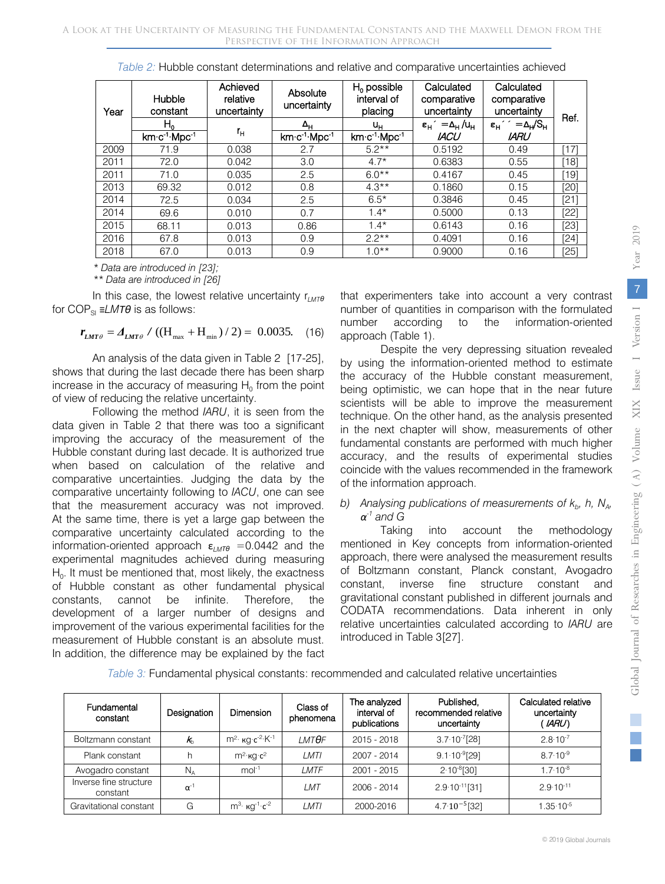| Year | Hubble<br>constant                    | Achieved<br>relative<br>uncertainty | Absolute<br>uncertainty               | $H_0$ possible<br>interval of<br>placing | Calculated<br>comparative<br>uncertainty                 | Calculated<br>comparative<br>uncertainty                   | Ref.   |
|------|---------------------------------------|-------------------------------------|---------------------------------------|------------------------------------------|----------------------------------------------------------|------------------------------------------------------------|--------|
|      | н.                                    |                                     | Δ <sub>н</sub>                        | uн                                       | $\varepsilon_{\rm H}$ = $\Delta_{\rm H}$ /u <sub>H</sub> | $\varepsilon_{\rm H}$ ' = $\Delta_{\rm H}$ /S <sub>H</sub> |        |
|      | km·c <sup>-1</sup> ·Mpc <sup>-1</sup> | г,                                  | km·c <sup>-1</sup> ·Mpc <sup>-1</sup> | km·c <sup>-1</sup> ·Mpc <sup>-1</sup>    | <b>IACU</b>                                              | <b>IARU</b>                                                |        |
| 2009 | 71.9                                  | 0.038                               | 2.7                                   | $5.2**$                                  | 0.5192                                                   | 0.49                                                       | $[17]$ |
| 2011 | 72.0                                  | 0.042                               | 3.0                                   | $4.7*$                                   | 0.6383                                                   | 0.55                                                       | [18]   |
| 2011 | 71.0                                  | 0.035                               | 2.5                                   | $6.0**$                                  | 0.4167                                                   | 0.45                                                       | [19]   |
| 2013 | 69.32                                 | 0.012                               | 0.8                                   | $4.3***$                                 | 0.1860                                                   | 0.15                                                       | [20]   |
| 2014 | 72.5                                  | 0.034                               | 2.5                                   | $6.5*$                                   | 0.3846                                                   | 0.45                                                       | [21]   |
| 2014 | 69.6                                  | 0.010                               | 0.7                                   | $1.4*$                                   | 0.5000                                                   | 0.13                                                       | [22]   |
| 2015 | 68.11                                 | 0.013                               | 0.86                                  | $1.4*$                                   | 0.6143                                                   | 0.16                                                       | [23]   |
| 2016 | 67.8                                  | 0.013                               | 0.9                                   | $2.2**$                                  | 0.4091                                                   | 0.16                                                       | $[24]$ |
| 2018 | 67.0                                  | 0.013                               | 0.9                                   | $1.0**$                                  | 0.9000                                                   | 0.16                                                       | $[25]$ |

*Table 2:* Hubble constant determinations and relative and comparative uncertainties achieved

 *\* Data are introduced in [23];*

 *\*\* Data are introduced in [26]*

In this case, the lowest relative uncertainty  $r_{LMT}$ *θ* for COP<sub>SI</sub> ≡*LMTθ* is as follows:

$$
r_{LMT\theta} = \Delta_{LMT\theta} / ((H_{max} + H_{min}) / 2) = 0.0035. \quad (16)
$$

An analysis of the data given in Table 2 [17-25], shows that during the last decade there has been sharp increase in the accuracy of measuring  $H_0$  from the point of view of reducing the relative uncertainty.

Following the method *IARU*, it is seen from the data given in Table 2 that there was too a significant improving the accuracy of the measurement of the Hubble constant during last decade. It is authorized true when based on calculation of the relative and comparative uncertainties. Judging the data by the comparative uncertainty following to *IACU*, one can see that the measurement accuracy was not improved. At the same time, there is yet a large gap between the comparative uncertainty calculated according to the information-oriented approach  $\varepsilon_{M}$ <sup> $\tau$  $\theta$ </sup> =0.0442 and the experimental magnitudes achieved during measuring  $H<sub>0</sub>$ . It must be mentioned that, most likely, the exactness of Hubble constant as other fundamental physical constants, cannot be infinite. Therefore, the development of a larger number of designs and improvement of the various experimental facilities for the measurement of Hubble constant is an absolute must. In addition, the difference may be explained by the fact that experimenters take into account a very contrast number of quantities in comparison with the formulated number according to the information-oriented approach (Table 1).

Despite the very depressing situation revealed by using the information-oriented method to estimate the accuracy of the Hubble constant measurement, being optimistic, we can hope that in the near future scientists will be able to improve the measurement technique. On the other hand, as the analysis presented in the next chapter will show, measurements of other fundamental constants are performed with much higher accuracy, and the results of experimental studies coincide with the values recommended in the framework of the information approach.

#### *b)* Analysing publications of measurements of  $k_b$ , h,  $N_{A}$ , *α-1 and G*

Taking into account the methodology mentioned in Key concepts from information-oriented approach, there were analysed the measurement results of Boltzmann constant, Planck constant, Avogadro constant, inverse fine structure constant and gravitational constant published in different journals and CODATA recommendations. Data inherent in only relative uncertainties calculated according to *IARU* are introduced in Table 3[27].

| Fundamental<br>constant            | Designation   | Dimension                                | Class of<br>phenomena | The analyzed<br>interval of<br>publications | Published,<br>recommended relative<br>uncertainty | Calculated relative<br>uncertainty<br>' IARU') |
|------------------------------------|---------------|------------------------------------------|-----------------------|---------------------------------------------|---------------------------------------------------|------------------------------------------------|
| Boltzmann constant                 | $k_{\rm b}$   | $m^2$ ка с <sup>-2</sup> К <sup>-1</sup> | <b>LMTOF</b>          | 2015 - 2018                                 | $3.7 \cdot 10^{-7}$ [28]                          | $2.8 \cdot 10^{-7}$                            |
| Plank constant                     |               | $m^2$ · $\kappa$ q· $c^2$                | LMTI                  | 2007 - 2014                                 | $9.1 \cdot 10^{-9}$ [29]                          | $87.10^{-9}$                                   |
| Avogadro constant                  | $N_A$         | $mol-1$                                  | LMTF                  | $2001 - 2015$                               | $2.10^{-8}$ [30]                                  | $17.10^{-8}$                                   |
| Inverse fine structure<br>constant | $\alpha^{-1}$ |                                          | LMT                   | 2006 - 2014                                 | $2.9 \cdot 10^{-11}$ [31]                         | $2.9 \cdot 10^{-11}$                           |
| Gravitational constant             | G             | $m^3$ $\kappa q^{-1}$ $c^{-2}$           | LMTI                  | 2000-2016                                   | $4.7 \cdot 10^{-5}$ [32]                          | $1.35 \cdot 10^{-5}$                           |

*Table 3:* Fundamental physical constants: recommended and calculated relative uncertainties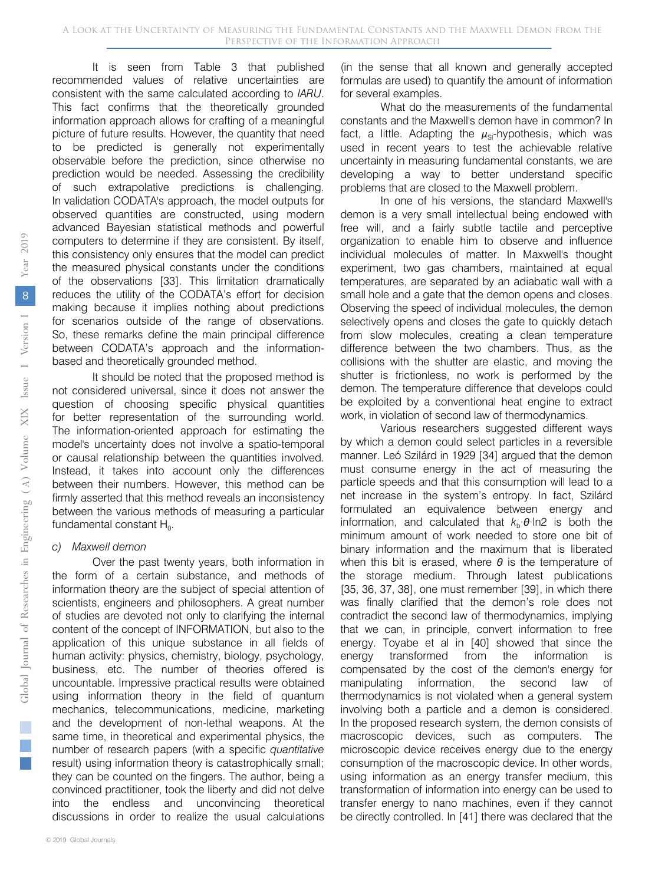It is seen from Table 3 that published recommended values of relative uncertainties are consistent with the same calculated according to *IARU*. This fact confirms that the theoretically grounded information approach allows for crafting of a meaningful picture of future results. However, the quantity that need to be predicted is generally not experimentally observable before the prediction, since otherwise no prediction would be needed. Assessing the credibility of such extrapolative predictions is challenging. In validation CODATA's approach, the model outputs for observed quantities are constructed, using modern advanced Bayesian statistical methods and powerful computers to determine if they are consistent. By itself, this consistency only ensures that the model can predict the measured physical constants under the conditions of the observations [33]. This limitation dramatically reduces the utility of the CODATA's effort for decision making because it implies nothing about predictions for scenarios outside of the range of observations. So, these remarks define the main principal difference between CODATA's approach and the informationbased and theoretically grounded method.

It should be noted that the proposed method is not considered universal, since it does not answer the question of choosing specific physical quantities for better representation of the surrounding world. The information-oriented approach for estimating the model's uncertainty does not involve a spatio-temporal or causal relationship between the quantities involved. Instead, it takes into account only the differences between their numbers. However, this method can be firmly asserted that this method reveals an inconsistency between the various methods of measuring a particular fundamental constant  $H_0$ .

#### *c) Maxwell demon*

Over the past twenty years, both information in the form of a certain substance, and methods of information theory are the subject of special attention of scientists, engineers and philosophers. A great number of studies are devoted not only to clarifying the internal content of the concept of INFORMATION, but also to the application of this unique substance in all fields of human activity: physics, chemistry, biology, psychology, business, etc. The number of theories offered is uncountable. Impressive practical results were obtained using information theory in the field of quantum mechanics, telecommunications, medicine, marketing and the development of non-lethal weapons. At the same time, in theoretical and experimental physics, the number of research papers (with a specific *quantitative* result) using information theory is catastrophically small; they can be counted on the fingers. The author, being a convinced practitioner, took the liberty and did not delve into the endless and unconvincing theoretical discussions in order to realize the usual calculations

(in the sense that all known and generally accepted formulas are used) to quantify the amount of information for several examples.

What do the measurements of the fundamental constants and the Maxwell's demon have in common? In fact, a little. Adapting the  $\mu_{\rm SI}$ -hypothesis, which was used in recent years to test the achievable relative uncertainty in measuring fundamental constants, we are developing a way to better understand specific problems that are closed to the Maxwell problem.

In one of his versions, the standard Maxwell's demon is a very small intellectual being endowed with free will, and a fairly subtle tactile and perceptive organization to enable him to observe and influence individual molecules of matter. In Maxwell's thought experiment, two gas chambers, maintained at equal temperatures, are separated by an adiabatic wall with a small hole and a gate that the demon opens and closes. Observing the speed of individual molecules, the demon selectively opens and closes the gate to quickly detach from slow molecules, creating a clean temperature difference between the two chambers. Thus, as the collisions with the shutter are elastic, and moving the shutter is frictionless, no work is performed by the demon. The temperature difference that develops could be exploited by a conventional heat engine to extract work, in violation of second law of thermodynamics.

Various researchers suggested different ways by which a demon could select particles in a reversible manner. Leó Szilárd in 1929 [34] argued that the demon must consume energy in the act of measuring the particle speeds and that this consumption will lead to a net increase in the system's entropy. In fact, Szilárd formulated an equivalence between energy and information, and calculated that  $k_b \cdot \theta \cdot \ln 2$  is both the minimum amount of work needed to store one bit of binary information and the maximum that is liberated when this bit is erased, where *θ* is the temperature of the storage medium. Through latest publications [35, 36, 37, 38], one must remember [39], in which there was finally clarified that the demon's role does not contradict the second law of thermodynamics, implying that we can, in principle, convert information to free energy. Toyabe et al in [40] showed that since the energy transformed from the information is compensated by the cost of the demon's energy for manipulating information, the second law of thermodynamics is not violated when a general system involving both a particle and a demon is considered. In the proposed research system, the demon consists of macroscopic devices, such as computers. The microscopic device receives energy due to the energy consumption of the macroscopic device. In other words, using information as an energy transfer medium, this transformation of information into energy can be used to transfer energy to nano machines, even if they cannot be directly controlled. In [41] there was declared that the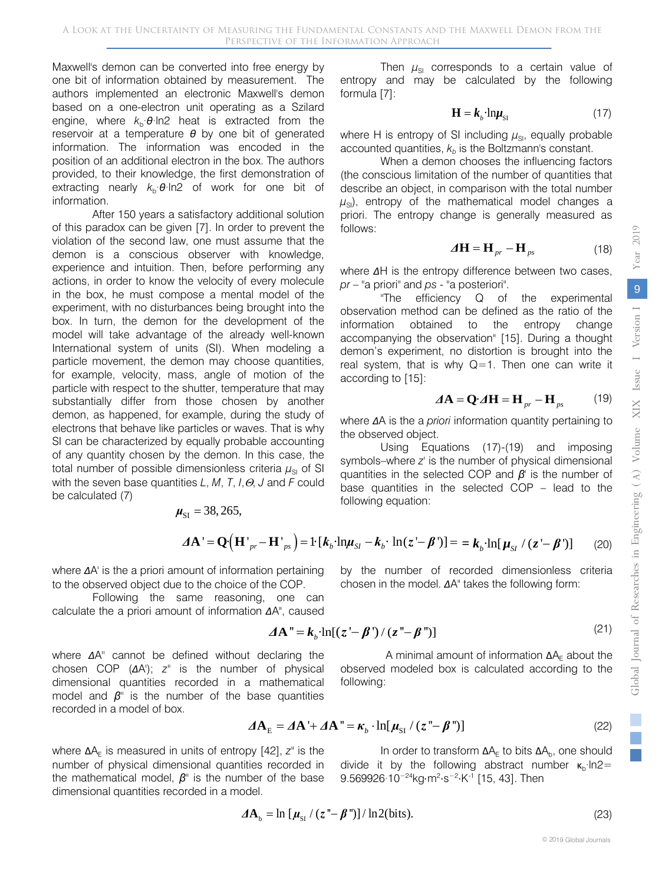Maxwell's demon can be converted into free energy by one bit of information obtained by measurement. The authors implemented an electronic Maxwell's demon based on a one-electron unit operating as a Szilard engine, where  $k<sub>b</sub> \theta \ln 2$  heat is extracted from the reservoir at a temperature *θ* by one bit of generated information. The information was encoded in the position of an additional electron in the box. The authors provided, to their knowledge, the first demonstration of extracting nearly  $k<sub>b</sub>$ ·*θ*·ln2 of work for one bit of information.

After 150 years a satisfactory additional solution of this paradox can be given [7]. In order to prevent the violation of the second law, one must assume that the demon is a conscious observer with knowledge, experience and intuition. Then, before performing any actions, in order to know the velocity of every molecule in the box, he must compose a mental model of the experiment, with no disturbances being brought into the box. In turn, the demon for the development of the model will take advantage of the already well-known International system of units (SI). When modeling a particle movement, the demon may choose quantities, for example, velocity, mass, angle of motion of the particle with respect to the shutter, temperature that may substantially differ from those chosen by another demon, as happened, for example, during the study of electrons that behave like particles or waves. That is why SI can be characterized by equally probable accounting of any quantity chosen by the demon. In this case, the total number of possible dimensionless criteria  $\mu_{\rm SI}$  of SI with the seven base quantities *L*, *M*, *T*, *I*,Θ, *J* and *F* could be calculated (7)

> $\mu_{\rm SI} = 38, 265,$  $\boldsymbol{\Delta A}^{\prime} = \mathbf{Q} \left( \mathbf{H}^{\prime}_{pr} - \mathbf{H}^{\prime}_{ps} \right) = 1 \left[ \mathbf{k}_{b} \cdot \ln \mu_{SI} - \mathbf{k}_{b} \cdot \ln \left( z - \boldsymbol{\beta}^{\prime} \right) \right] = \mathbf{g} \mathbf{k}_{b} \cdot \ln \left[ \mathbf{\mu}_{SI} / \left( z - \boldsymbol{\beta}^{\prime} \right) \right]$  (20)

> > following:

where *Δ*A' is the a priori amount of information pertaining to the observed object due to the choice of the COP.

Following the same reasoning, one can calculate the a priori amount of information ΔA", cause

where *Δ*A'' cannot be defined without declaring the chosen COP (*Δ*A'); *z"* is the number of physical dimensional quantities recorded in a mathematical model and *β''* is the number of the base quantities recorded in a model of box.

where ΔA<sub>F</sub> is measured in units of entropy [42], *z*" is the number of physical dimensional quantities recorded in the mathematical model, *β''* is the number of the base dimensional quantities recorded in a model.

$$
f_{\rm{max}}(x)=\frac{1}{2}x
$$

9.569926·10<sup>-24</sup>kg⋅m<sup>2</sup>⋅s<sup>-2</sup>⋅K<sup>-1</sup> [15, 43]. Then

 $\boldsymbol{\Delta A}_{\text{F}} = \boldsymbol{\Delta A} + \boldsymbol{\Delta A}^{\text{H}} = \boldsymbol{\kappa}_{b} \cdot \ln[\boldsymbol{\mu}_{\text{ST}} / (\boldsymbol{z}^{\text{H}} - \boldsymbol{\beta}^{\text{H}})]$  (22)

$$
\Delta \mathbf{A}_{\mathrm{b}} = \ln \left[ \mu_{\mathrm{SI}} / (z - \beta'') \right] / \ln 2(\mathrm{bits}). \tag{23}
$$

$$
z'-\beta')]==\boldsymbol{k}_{b}\cdot\ln[\boldsymbol{\mu}_{SI}/(z'-\boldsymbol{\beta}')]
$$
 (20)

by the number of recorded dimensionless criteria chosen in the model. *Δ*A" takes the following form:

$$
\mathsf{B}^{\mathsf{L}}(\mathsf{B}) = \mathsf{B}^{\mathsf{L}}(\mathsf{B})
$$

 $\Delta A'' = k_{\nu} \cdot \ln[(z - \beta') / (z - \beta'')]$  (21) A minimal amount of information  $\Delta A_F$  about the observed modeled box is calculated according to the

In order to transform  $ΔA<sub>E</sub>$  to bits  $ΔA<sub>b</sub>$ , one should

divide it by the following abstract number  $\kappa_b$ ·ln2=

Then  $\mu_{\rm SI}$  corresponds to a certain value of entropy and may be calculated by the following formula [7]:

$$
\mathbf{H} = \mathbf{k}_{b} \cdot \mathbf{ln} \boldsymbol{\mu}_{\mathrm{SI}} \tag{17}
$$

where H is entropy of SI including  $\mu_{\rm SI}$ , equally probable accounted quantities,  $k<sub>b</sub>$  is the Boltzmann's constant.

When a demon chooses the influencing factors (the conscious limitation of the number of quantities that describe an object, in comparison with the total number  $\mu_{\rm{sl}}$ ), entropy of the mathematical model changes a priori. The entropy change is generally measured as follows:

$$
\Delta \mathbf{H} = \mathbf{H}_{pr} - \mathbf{H}_{ps} \tag{18}
$$

where *Δ*H is the entropy difference between two cases, *pr* – "a priori" and *ps* - "a posteriori".

"The efficiency Q of the experimental observation method can be defined as the ratio of the information obtained to the entropy change accompanying the observation" [15]. During a thought demon's experiment, no distortion is brought into the real system, that is why  $Q=1$ . Then one can write it according to [15]:

$$
\boldsymbol{\Lambda} \mathbf{A} = \mathbf{Q} \cdot \boldsymbol{\Lambda} \mathbf{H} = \mathbf{H}_{pr} - \mathbf{H}_{ps} \tag{19}
$$

where *Δ*A is the a *priori* information quantity pertaining to the observed object.

Using Equations (17)-(19) and imposing symbols–where *z'* is the number of physical dimensional quantities in the selected COP and *β'* is the number of base quantities in the selected COP – lead to the following equation: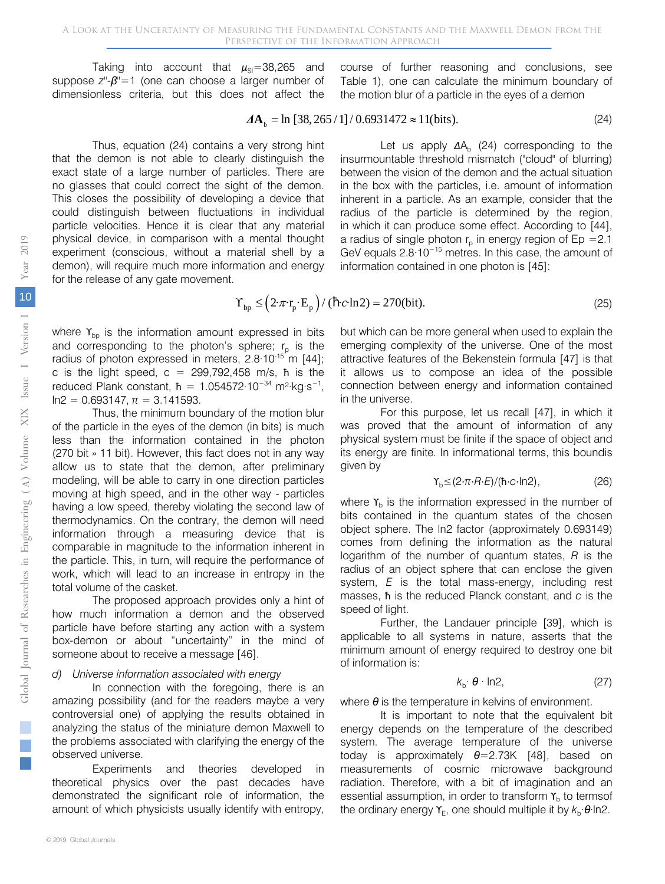Taking into account that  $\mu_{\text{SI}}$ =38,265 and suppose *z''*-*β''*=1 (one can choose a larger number of dimensionless criteria, but this does not affect the course of further reasoning and conclusions, see Table 1), one can calculate the minimum boundary of the motion blur of a particle in the eyes of a demon

$$
\Delta A_{\rm b} = \ln \left[ 38, 265 / 1 \right] / 0.6931472 \approx 11 \text{(bits)}.
$$
 (24)

Thus, equation (24) contains a very strong hint that the demon is not able to clearly distinguish the exact state of a large number of particles. There are no glasses that could correct the sight of the demon. This closes the possibility of developing a device that could distinguish between fluctuations in individual particle velocities. Hence it is clear that any material physical device, in comparison with a mental thought experiment (conscious, without a material shell by a demon), will require much more information and energy for the release of any gate movement.

Let us apply  $\Delta A_b$  (24) corresponding to the insurmountable threshold mismatch ("cloud" of blurring) between the vision of the demon and the actual situation in the box with the particles, i.e. amount of information inherent in a particle. As an example, consider that the radius of the particle is determined by the region, in which it can produce some effect. According to [44], a radius of single photon  $r<sub>p</sub>$  in energy region of Ep = 2.1 GeV equals 2.8·10<sup>−</sup><sup>15</sup> metres. In this case, the amount of information contained in one photon is [45]:

$$
\Upsilon_{\rm bp} \le \left(2 \cdot \pi \cdot r_{\rm p} \cdot E_{\rm p}\right) / (\hbar \cdot c \cdot \ln 2) = 270(\text{bit}).\tag{25}
$$

where  $\Upsilon_{\text{bo}}$  is the information amount expressed in bits and corresponding to the photon's sphere;  $r_{p}$  is the radius of photon expressed in meters,  $2.8 \cdot 10^{-15}$  m [44]; c is the light speed,  $c = 299,792,458$  m/s,  $\hbar$  is the reduced Plank constant,  $\hbar = 1.054572 \cdot 10^{-34}$  m<sup>2</sup>·kg·s<sup>-1</sup>,  $ln2 = 0.693147$ ,  $\pi = 3.141593$ .

Thus, the minimum boundary of the motion blur of the particle in the eyes of the demon (in bits) is much less than the information contained in the photon (270 bit » 11 bit). However, this fact does not in any way allow us to state that the demon, after preliminary modeling, will be able to carry in one direction particles moving at high speed, and in the other way - particles having a low speed, thereby violating the second law of thermodynamics. On the contrary, the demon will need information through a measuring device that is comparable in magnitude to the information inherent in the particle. This, in turn, will require the performance of work, which will lead to an increase in entropy in the total volume of the casket.

The proposed approach provides only a hint of how much information a demon and the observed particle have before starting any action with a system box-demon or about "uncertainty" in the mind of someone about to receive a message [46].

#### *d) Universe information associated with energy*

In connection with the foregoing, there is an amazing possibility (and for the readers maybe a very controversial one) of applying the results obtained in analyzing the status of the miniature demon Maxwell to the problems associated with clarifying the energy of the observed universe.

Experiments and theories developed in theoretical physics over the past decades have demonstrated the significant role of information, the amount of which physicists usually identify with entropy,

but which can be more general when used to explain the emerging complexity of the universe. One of the most attractive features of the Bekenstein formula [47] is that it allows us to compose an idea of the possible connection between energy and information contained in the universe.

For this purpose, let us recall [47], in which it was proved that the amount of information of any physical system must be finite if the space of object and its energy are finite. In informational terms, this boundis given by

$$
\Upsilon_{\rm b} \leq (2 \cdot \pi \cdot R \cdot E) / (\hbar \cdot c \cdot \ln 2),\tag{26}
$$

where  $Y<sub>b</sub>$  is the information expressed in the number of bits contained in the quantum states of the chosen object sphere. The ln2 factor (approximately 0.693149) comes from defining the information as the natural logarithm of the number of quantum states, *R* is the radius of an object sphere that can enclose the given system, *E* is the total mass-energy, including rest masses, ħ is the reduced Planck constant, and *c* is the speed of light.

Further, the Landauer principle [39], which is applicable to all systems in nature, asserts that the minimum amount of energy required to destroy one bit of information is:

$$
k_{\rm b} \cdot \boldsymbol{\theta} \cdot \ln 2, \tag{27}
$$

where *θ* is the temperature in kelvins of environment.

It is important to note that the equivalent bit energy depends on the temperature of the described system. The average temperature of the universe today is approximately *θ*=2.73K [48], based on measurements of cosmic microwave background radiation. Therefore, with a bit of imagination and an essential assumption, in order to transform  $Y<sub>b</sub>$  to termsof the ordinary energy  $Y_F$ , one should multiple it by  $k_B \cdot \theta \cdot \ln 2$ .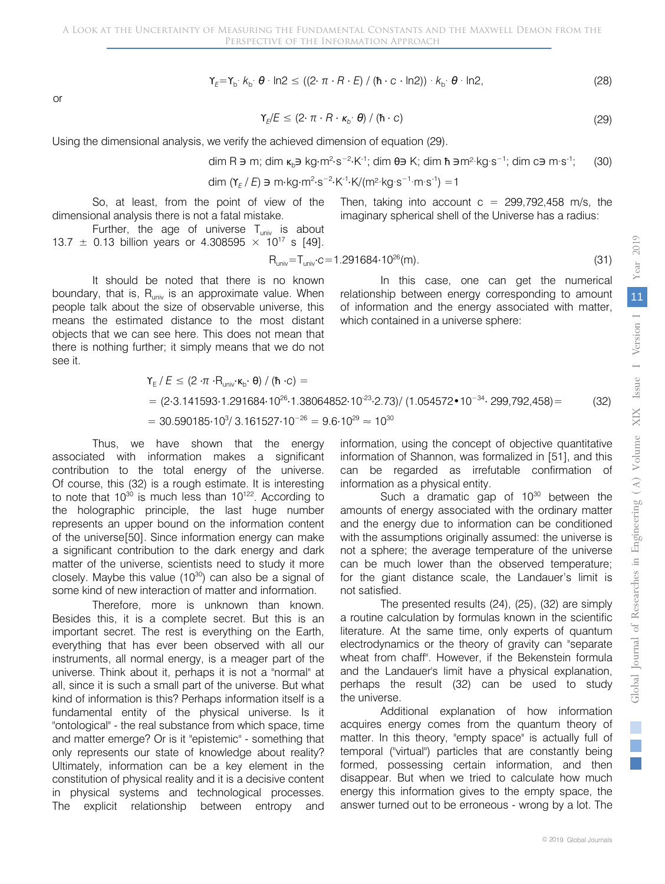$$
\gamma_{E} = \gamma_{b} \cdot k_{b} \cdot \theta \cdot \ln 2 \le ((2 \cdot \pi \cdot R \cdot E) / (\hbar \cdot c \cdot \ln 2)) \cdot k_{b} \cdot \theta \cdot \ln 2, \tag{28}
$$

or

$$
\Upsilon_{E}/E \leq (2 \cdot \pi \cdot R \cdot \kappa_{b} \cdot \theta) / (\hbar \cdot c) \tag{29}
$$

Using the dimensional analysis, we verify the achieved dimension of equation (29).

$$
\dim R \ni m; \dim \kappa_b \ni k g \cdot m^2 \cdot s^{-2} \cdot K^{-1}; \dim \theta \ni K; \dim \theta \ni m^2 \cdot k g \cdot s^{-1}; \dim c \ni m \cdot s^{-1}; \tag{30}
$$

$$
\dim (\Upsilon_{E}/E) \ni m \cdot \log m^{2} \cdot s^{-2} \cdot K^{-1} \cdot K/(m^{2} \cdot \log s^{-1} \cdot m \cdot s^{-1}) = 1
$$

So, at least, from the point of view of the dimensional analysis there is not a fatal mistake.

Further, the age of universe  $T_{univ}$  is about 13.7  $\pm$  0.13 billion years or 4.308595  $\times$  10<sup>17</sup> s [49].

$$
R_{\text{univ}} = T_{\text{univ}} \cdot c = 1.291684 \cdot 10^{26} \text{(m)}.
$$
\n(31)

which contained in a universe sphere:

Then, taking into account  $c = 299,792,458$  m/s, the imaginary spherical shell of the Universe has a radius:

relationship between energy corresponding to amount of information and the energy associated with matter,

In this case, one can get the numerical

It should be noted that there is no known boundary, that is,  $R_{univ}$  is an approximate value. When people talk about the size of observable universe, this means the estimated distance to the most distant objects that we can see here. This does not mean that there is nothing further; it simply means that we do not see it.

$$
Y_{E}/E \leq (2 \cdot \pi \cdot R_{\text{univ}} \cdot \kappa_{b} \cdot \theta) / (\hbar \cdot c) =
$$
  
= (2.3.141593.1.291684.10<sup>26</sup>.1.38064852.10<sup>-23</sup>.2.73) / (1.054572•10<sup>-34</sup>. 299,792,458) = (32)  
= 30.590185.10<sup>3</sup>/ 3.161527.10<sup>-26</sup> = 9.6.10<sup>29</sup>  $\approx 10^{30}$ 

Thus, we have shown that the energy associated with information makes a significant contribution to the total energy of the universe. Of course, this (32) is a rough estimate. It is interesting to note that  $10^{30}$  is much less than  $10^{122}$ . According to the holographic principle, the last huge number represents an upper bound on the information content of the universe[50]. Since information energy can make a significant contribution to the dark energy and dark matter of the universe, scientists need to study it more closely. Maybe this value  $(10^{30})$  can also be a signal of some kind of new interaction of matter and information.

Therefore, more is unknown than known. Besides this, it is a complete secret. But this is an important secret. The rest is everything on the Earth, everything that has ever been observed with all our instruments, all normal energy, is a meager part of the universe. Think about it, perhaps it is not a "normal" at all, since it is such a small part of the universe. But what kind of information is this? Perhaps information itself is a fundamental entity of the physical universe. Is it "ontological" - the real substance from which space, time and matter emerge? Or is it "epistemic" - something that only represents our state of knowledge about reality? Ultimately, information can be a key element in the constitution of physical reality and it is a decisive content in physical systems and technological processes. The explicit relationship between entropy and information, using the concept of objective quantitative information of Shannon, was formalized in [51], and this can be regarded as irrefutable confirmation of information as a physical entity.

Such a dramatic gap of  $10^{30}$  between the amounts of energy associated with the ordinary matter and the energy due to information can be conditioned with the assumptions originally assumed: the universe is not a sphere; the average temperature of the universe can be much lower than the observed temperature; for the giant distance scale, the Landauer's limit is not satisfied.

The presented results (24), (25), (32) are simply a routine calculation by formulas known in the scientific literature. At the same time, only experts of quantum electrodynamics or the theory of gravity can "separate wheat from chaff". However, if the Bekenstein formula and the Landauer's limit have a physical explanation, perhaps the result (32) can be used to study the universe.

Additional explanation of how information acquires energy comes from the quantum theory of matter. In this theory, "empty space" is actually full of temporal ("virtual") particles that are constantly being formed, possessing certain information, and then disappear. But when we tried to calculate how much energy this information gives to the empty space, the answer turned out to be erroneous - wrong by a lot. The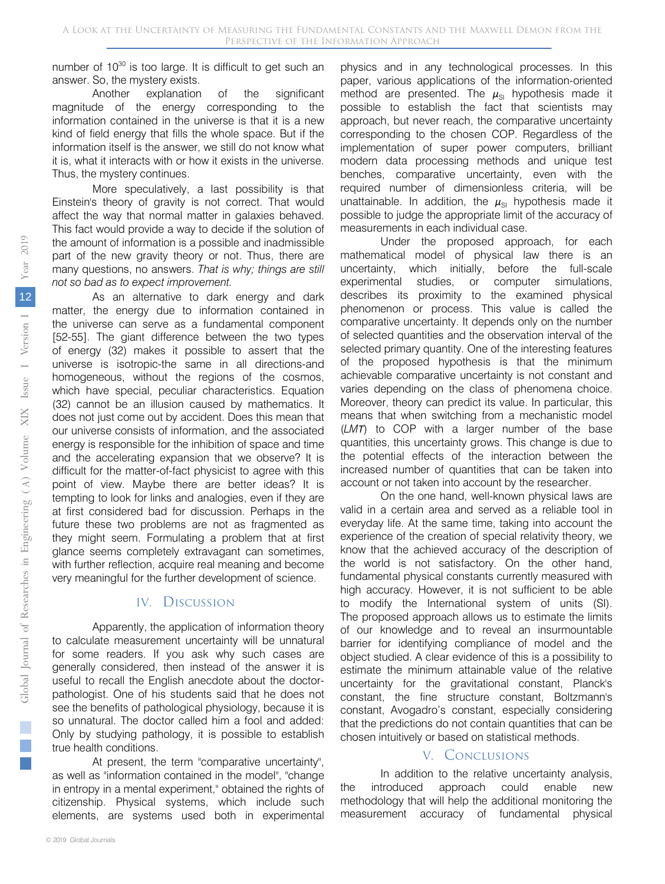number of 10<sup>30</sup> is too large. It is difficult to get such an answer. So, the mystery exists.

Another explanation of the significant magnitude of the energy corresponding to the information contained in the universe is that it is a new kind of field energy that fills the whole space. But if the information itself is the answer, we still do not know what it is, what it interacts with or how it exists in the universe. Thus, the mystery continues.

More speculatively, a last possibility is that Einstein's theory of gravity is not correct. That would affect the way that normal matter in galaxies behaved. This fact would provide a way to decide if the solution of the amount of information is a possible and inadmissible part of the new gravity theory or not. Thus, there are many questions, no answers. *That is why; things are still not so bad as to expect improvement.*

As an alternative to dark energy and dark matter, the energy due to information contained in the universe can serve as a fundamental component [52-55]. The giant difference between the two types of energy (32) makes it possible to assert that the universe is isotropic-the same in all directions-and homogeneous, without the regions of the cosmos, which have special, peculiar characteristics. Equation (32) cannot be an illusion caused by mathematics. It does not just come out by accident. Does this mean that our universe consists of information, and the associated energy is responsible for the inhibition of space and time and the accelerating expansion that we observe? It is difficult for the matter-of-fact physicist to agree with this point of view. Maybe there are better ideas? It is tempting to look for links and analogies, even if they are at first considered bad for discussion. Perhaps in the future these two problems are not as fragmented as they might seem. Formulating a problem that at first glance seems completely extravagant can sometimes, with further reflection, acquire real meaning and become very meaningful for the further development of science.

#### IV. Discussion

Apparently, the application of information theory to calculate measurement uncertainty will be unnatural for some readers. If you ask why such cases are generally considered, then instead of the answer it is useful to recall the English anecdote about the doctorpathologist. One of his students said that he does not see the benefits of pathological physiology, because it is so unnatural. The doctor called him a fool and added: Only by studying pathology, it is possible to establish true health conditions.

At present, the term "comparative uncertainty", as well as "information contained in the model", "change in entropy in a mental experiment," obtained the rights of citizenship. Physical systems, which include such elements, are systems used both in experimental

physics and in any technological processes. In this paper, various applications of the information-oriented method are presented. The  $\mu_{\rm SI}$  hypothesis made it possible to establish the fact that scientists may approach, but never reach, the comparative uncertainty corresponding to the chosen COP. Regardless of the implementation of super power computers, brilliant modern data processing methods and unique test benches, comparative uncertainty, even with the required number of dimensionless criteria, will be unattainable. In addition, the  $\mu_{\rm SI}$  hypothesis made it possible to judge the appropriate limit of the accuracy of measurements in each individual case.

Under the proposed approach, for each mathematical model of physical law there is an uncertainty, which initially, before the full-scale experimental studies, or computer simulations, describes its proximity to the examined physical phenomenon or process. This value is called the comparative uncertainty. It depends only on the number of selected quantities and the observation interval of the selected primary quantity. One of the interesting features of the proposed hypothesis is that the minimum achievable comparative uncertainty is not constant and varies depending on the class of phenomena choice. Moreover, theory can predict its value. In particular, this means that when switching from a mechanistic model (*LMТ*) to COP with a larger number of the base quantities, this uncertainty grows. This change is due to the potential effects of the interaction between the increased number of quantities that can be taken into account or not taken into account by the researcher.

On the one hand, well-known physical laws are valid in a certain area and served as a reliable tool in everyday life. At the same time, taking into account the experience of the creation of special relativity theory, we know that the achieved accuracy of the description of the world is not satisfactory. On the other hand, fundamental physical constants currently measured with high accuracy. However, it is not sufficient to be able to modify the International system of units (SI). The proposed approach allows us to estimate the limits of our knowledge and to reveal an insurmountable barrier for identifying compliance of model and the object studied. A clear evidence of this is a possibility to estimate the minimum attainable value of the relative uncertainty for the gravitational constant, Planck's constant, the fine structure constant, Boltzmann's constant, Avogadro's constant, especially considering that the predictions do not contain quantities that can be chosen intuitively or based on statistical methods.

#### V. Conclusions

In addition to the relative uncertainty analysis, the introduced approach could enable new methodology that will help the additional monitoring the measurement accuracy of fundamental physical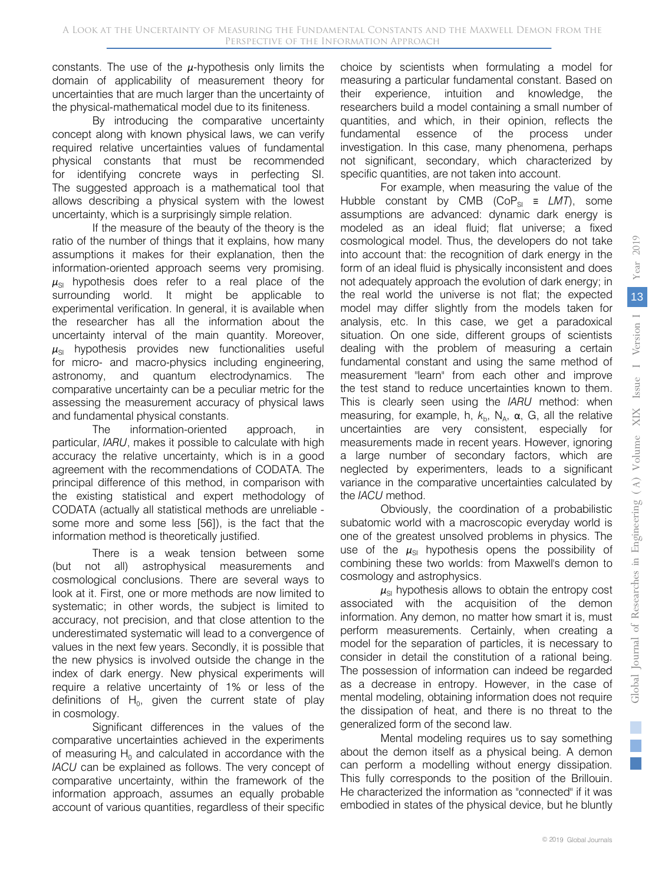constants. The use of the *μ*-hypothesis only limits the domain of applicability of measurement theory for uncertainties that are much larger than the uncertainty of the physical-mathematical model due to its finiteness.

By introducing the comparative uncertainty concept along with known physical laws, we can verify required relative uncertainties values of fundamental physical constants that must be recommended for identifying concrete ways in perfecting SI. The suggested approach is a mathematical tool that allows describing a physical system with the lowest uncertainty, which is a surprisingly simple relation.

If the measure of the beauty of the theory is the ratio of the number of things that it explains, how many assumptions it makes for their explanation, then the information-oriented approach seems very promising.  $\mu_{\rm SI}$  hypothesis does refer to a real place of the surrounding world. It might be applicable to experimental verification. In general, it is available when the researcher has all the information about the uncertainty interval of the main quantity. Moreover,  $\mu_{\rm SI}$  hypothesis provides new functionalities useful for micro- and macro-physics including engineering, astronomy, and quantum electrodynamics. The comparative uncertainty can be a peculiar metric for the assessing the measurement accuracy of physical laws and fundamental physical constants.

The information-oriented approach, in particular, *IARU*, makes it possible to calculate with high accuracy the relative uncertainty, which is in a good agreement with the recommendations of CODATA. The principal difference of this method, in comparison with the existing statistical and expert methodology of CODATA (actually all statistical methods are unreliable some more and some less [56]), is the fact that the information method is theoretically justified.

There is a weak tension between some (but not all) astrophysical measurements and cosmological conclusions. There are several ways to look at it. First, one or more methods are now limited to systematic; in other words, the subject is limited to accuracy, not precision, and that close attention to the underestimated systematic will lead to a convergence of values in the next few years. Secondly, it is possible that the new physics is involved outside the change in the index of dark energy. New physical experiments will require a relative uncertainty of 1% or less of the definitions of  $H_0$ , given the current state of play in cosmology.

Significant differences in the values of the comparative uncertainties achieved in the experiments of measuring  $H_0$  and calculated in accordance with the *IACU* can be explained as follows. The very concept of comparative uncertainty, within the framework of the information approach, assumes an equally probable account of various quantities, regardless of their specific

choice by scientists when formulating a model for measuring a particular fundamental constant. Based on their experience, intuition and knowledge, the researchers build a model containing a small number of quantities, and which, in their opinion, reflects the fundamental essence of the process under investigation. In this case, many phenomena, perhaps not significant, secondary, which characterized by specific quantities, are not taken into account.

For example, when measuring the value of the Hubble constant by CMB (CoP<sub>SI</sub> =  $LMT$ ), some assumptions are advanced: dynamic dark energy is modeled as an ideal fluid; flat universe; a fixed cosmological model. Thus, the developers do not take into account that: the recognition of dark energy in the form of an ideal fluid is physically inconsistent and does not adequately approach the evolution of dark energy; in the real world the universe is not flat; the expected model may differ slightly from the models taken for analysis, etc. In this case, we get a paradoxical situation. On one side, different groups of scientists dealing with the problem of measuring a certain fundamental constant and using the same method of measurement "learn" from each other and improve the test stand to reduce uncertainties known to them. This is clearly seen using the *IARU* method: when measuring, for example, h,  $k_{b}$ , N<sub>A</sub>,  $\alpha$ , G, all the relative uncertainties are very consistent, especially for measurements made in recent years. However, ignoring a large number of secondary factors, which are neglected by experimenters, leads to a significant variance in the comparative uncertainties calculated by the *IACU* method.

Obviously, the coordination of a probabilistic subatomic world with a macroscopic everyday world is one of the greatest unsolved problems in physics. The use of the  $\mu_{\rm SI}$  hypothesis opens the possibility of combining these two worlds: from Maxwell's demon to cosmology and astrophysics.

 $\mu_{\rm SI}$  hypothesis allows to obtain the entropy cost associated with the acquisition of the demon information. Any demon, no matter how smart it is, must perform measurements. Certainly, when creating a model for the separation of particles, it is necessary to consider in detail the constitution of a rational being. The possession of information can indeed be regarded as a decrease in entropy. However, in the case of mental modeling, obtaining information does not require the dissipation of heat, and there is no threat to the generalized form of the second law.

Mental modeling requires us to say something about the demon itself as a physical being. A demon can perform a modelling without energy dissipation. This fully corresponds to the position of the Brillouin. He characterized the information as "connected" if it was embodied in states of the physical device, but he bluntly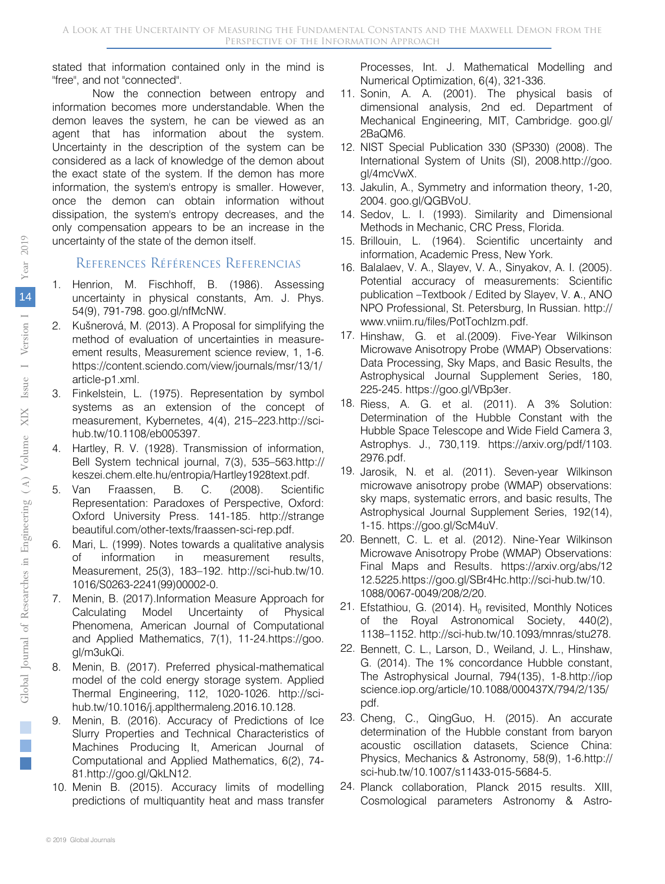stated that information contained only in the mind is "free", and not "connected".

Now the connection between entropy and information becomes more understandable. When the demon leaves the system, he can be viewed as an agent that has information about the system. Uncertainty in the description of the system can be considered as a lack of knowledge of the demon about the exact state of the system. If the demon has more information, the system's entropy is smaller. However, once the demon can obtain information without dissipation, the system's entropy decreases, and the only compensation appears to be an increase in the uncertainty of the state of the demon itself.

#### References Références Referencias

- 1. Henrion, M. Fischhoff, B. (1986). Assessing uncertainty in physical constants, Am. J. Phys. 54(9), 791-798. goo.gl/nfMcNW.
- Kušnerová, M. (2013). A Proposal for simplifying the method of evaluation of uncertainties in measureement results, Measurement science review, 1, 1-6. https://content.sciendo.com/view/journals/msr/13/1/ article-p1.xml.
- 3. Finkelstein, L. (1975). Representation by symbol systems as an extension of the concept of measurement, Kybernetes, 4(4), 215–223.http://scihub.tw/10.1108/eb005397.
- 4. Hartley, R. V. (1928). Transmission of information, Bell System technical journal, 7(3), 535–563.http:// keszei.chem.elte.hu/entropia/Hartley1928text.pdf.
- 5. Van Fraassen, B. C. (2008). Scientific Representation: Paradoxes of Perspective, Oxford: Oxford University Press. 141-185. http://strange beautiful.com/other-texts/fraassen-sci-rep.pdf.
- 6. Mari, L. (1999). Notes towards a qualitative analysis of information in measurement results, Measurement, 25(3), 183–192. http://sci-hub.tw/10. 1016/S0263-2241(99)00002-0.
- 7. Menin, B. (2017).Information Measure Approach for Calculating Model Uncertainty of Physical Phenomena, American Journal of Computational and Applied Mathematics, 7(1), 11-24.https://goo. gl/m3ukQi.
- 8. Menin, B. (2017). Preferred physical-mathematical model of the cold energy storage system. Applied Thermal Engineering, 112, 1020-1026. http://scihub.tw/10.1016/j.applthermaleng.2016.10.128.
- 9. Menin, B. (2016). Accuracy of Predictions of Ice Slurry Properties and Technical Characteristics of Machines Producing It, American Journal of Computational and Applied Mathematics, 6(2), 74- 81.http://goo.gl/QkLN12.
- 10. Menin B. (2015). Accuracy limits of modelling predictions of multiquantity heat and mass transfer

Processes, Int. J. Mathematical Modelling and Numerical Optimization, 6(4), 321-336.

- 11. Sonin, A. A. (2001). The physical basis of dimensional analysis, 2nd ed. Department of Mechanical Engineering, MIT, Cambridge. goo.gl/ 2BaQM6.
- 12. NIST Special Publication 330 (SP330) (2008). The International System of Units (SI), 2008.http://goo. gl/4mcVwX.
- 13. Jakulin, A., Symmetry and information theory, 1-20, 2004. goo.gl/QGBVoU.
- 14. Sedov, L. I. (1993). Similarity and Dimensional Methods in Mechanic, CRC Press, Florida.
- 15. Brillouin, L. (1964). Scientific uncertainty and information, Academic Press, New York.
- 16. Balalaev, V. A., Slayev, V. A., Sinyakov, A. I. (2005). Potential accuracy of measurements: Scientific publication –Textbook / Edited by Slayev, V. А., ANO NPO Professional, St. Petersburg, In Russian. http:// www.vniim.ru/files/PotTochIzm.pdf.
- 17. Hinshaw, G. et al.(2009). Five-Year Wilkinson Microwave Anisotropy Probe (WMAP) Observations: Data Processing, Sky Maps, and Basic Results, the Astrophysical Journal Supplement Series, 180, 225-245. https://goo.gl/VBp3er.
- 18. Riess, A. G. et al. (2011). A 3% Solution: Determination of the Hubble Constant with the Hubble Space Telescope and Wide Field Camera 3, Astrophys. J., 730,119. https://arxiv.org/pdf/1103. 2976.pdf.
- 19. Jarosik, N. et al. (2011). Seven-year Wilkinson microwave anisotropy probe (WMAP) observations: sky maps, systematic errors, and basic results, The Astrophysical Journal Supplement Series, 192(14), 1-15. https://goo.gl/ScM4uV.
- 20. Bennett, C. L. et al. (2012). Nine-Year Wilkinson Microwave Anisotropy Probe (WMAP) Observations: Final Maps and Results. https://arxiv.org/abs/12 12.5225.https://goo.gl/SBr4Hc.http://sci-hub.tw/10. 1088/0067-0049/208/2/20.
- 21. Efstathiou, G. (2014).  $H_0$  revisited, Monthly Notices of the Royal Astronomical Society, 440(2), 1138–1152. http://sci-hub.tw/10.1093/mnras/stu278.
- 22. Bennett, C. L., Larson, D., Weiland, J. L., Hinshaw, G. (2014). The 1% concordance Hubble constant, The Astrophysical Journal, 794(135), 1-8.http://iop science.iop.org/article/10.1088/000437X/794/2/135/ pdf.
- 23. Cheng, C., QingGuo, H. (2015). An accurate determination of the Hubble constant from baryon acoustic oscillation datasets, Science China: Physics, Mechanics & Astronomy, 58(9), 1-6.http:// sci-hub.tw/10.1007/s11433-015-5684-5.
- 24. Planck collaboration, Planck 2015 results. XIII, Cosmological parameters Astronomy & Astro-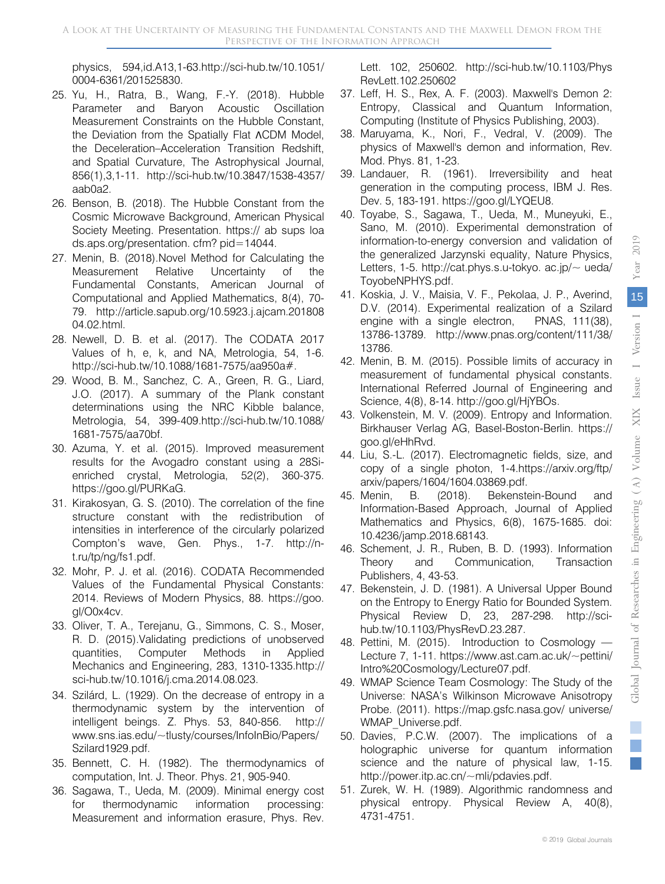physics, 594,id.A13,1-63.http://sci-hub.tw/10.1051/ 0004-6361/201525830.

- 25. Yu, H., Ratra, B., Wang, F.-Y. (2018). Hubble Parameter and Baryon Acoustic Oscillation Measurement Constraints on the Hubble Constant, the Deviation from the Spatially Flat ΛCDM Model, the Deceleration–Acceleration Transition Redshift, and Spatial Curvature, The Astrophysical Journal, 856(1),3,1-11. http://sci-hub.tw/10.3847/1538-4357/ aab0a2.
- 26. Benson, B. (2018). The Hubble Constant from the Cosmic Microwave Background, American Physical Society Meeting. Presentation. https:// ab sups loa ds.aps.org/presentation. cfm? pid=14044.
- 27. Menin, B. (2018).Novel Method for Calculating the Measurement Relative Uncertainty of the Fundamental Constants, American Journal of Computational and Applied Mathematics, 8(4), 70- 79. http://article.sapub.org/10.5923.j.ajcam.201808 04.02.html.
- 28. Newell, D. B. et al. (2017). The CODATA 2017 Values of h, e, k, and NA, Metrologia, 54, 1-6. http://sci-hub.tw/10.1088/1681-7575/aa950a#.
- 29. Wood, B. M., Sanchez, C. A., Green, R. G., Liard, J.O. (2017). A summary of the Plank constant determinations using the NRC Kibble balance, Metrologia, 54, 399-409.http://sci-hub.tw/10.1088/ 1681-7575/aa70bf.
- 30. Azuma, Y. et al. (2015). Improved measurement results for the Avogadro constant using a 28Sienriched crystal, Metrologia, 52(2), 360-375. https://goo.gl/PURKaG.
- 31. Kirakosyan, G. S. (2010). The correlation of the fine structure constant with the redistribution of intensities in interference of the circularly polarized Compton's wave, Gen. Phys., 1-7. http://nt.ru/tp/ng/fs1.pdf.
- 32. Mohr, P. J. et al. (2016). CODATA Recommended Values of the Fundamental Physical Constants: 2014. Reviews of Modern Physics, 88. https://goo. gl/O0x4cv.
- 33. Oliver, T. A., Terejanu, G., Simmons, C. S., Moser, R. D. (2015).Validating predictions of unobserved quantities, Computer Methods in Applied Mechanics and Engineering, 283, 1310-1335.http:// sci-hub.tw/10.1016/j.cma.2014.08.023.
- 34. Szilárd, L. (1929). On the decrease of entropy in a thermodynamic system by the intervention of intelligent beings. Z. Phys. 53, 840-856. http:// www.sns.ias.edu/~tlusty/courses/InfoInBio/Papers/ Szilard1929.pdf.
- 35. Bennett, C. H. (1982). The thermodynamics of computation, Int. J. Theor. Phys. 21, 905-940.
- 36. Sagawa, T., Ueda, M. (2009). Minimal energy cost for thermodynamic information processing: Measurement and information erasure, Phys. Rev.

Lett. 102, 250602. http://sci-hub.tw/10.1103/Phys RevLett.102.250602

- 37. Leff, H. S., Rex, A. F. (2003). Maxwell's Demon 2: Entropy, Classical and Quantum Information, Computing (Institute of Physics Publishing, 2003).
- 38. Maruyama, K., Nori, F., Vedral, V. (2009). The physics of Maxwell's demon and information, Rev. Mod. Phys. 81, 1-23.
- 39. Landauer, R. (1961). Irreversibility and heat generation in the computing process, IBM J. Res. Dev. 5, 183-191. https://goo.gl/LYQEU8.
- 40. Toyabe, S., Sagawa, T., Ueda, M., Muneyuki, E., Sano, M. (2010). Experimental demonstration of information-to-energy conversion and validation of the generalized Jarzynski equality, Nature Physics, Letters, 1-5. http://cat.phys.s.u-tokyo. ac.jp/ $\sim$  ueda/ ToyobeNPHYS.pdf.
- 41. Koskia, J. V., Maisia, V. F., Pekolaa, J. P., Averind, D.V. (2014). Experimental realization of a Szilard engine with a single electron, PNAS, 111(38), 13786-13789. http://www.pnas.org/content/111/38/ 13786.
- 42. Menin, B. M. (2015). Possible limits of accuracy in measurement of fundamental physical constants. International Referred Journal of Engineering and Science, 4(8), 8-14. http://goo.gl/HjYBOs.
- 43. Volkenstein, M. V. (2009). Entropy and Information. Birkhauser Verlag AG, Basel-Boston-Berlin. https:// goo.gl/eHhRvd.
- 44. Liu, S.-L. (2017). Electromagnetic fields, size, and copy of a single photon, 1-4.https://arxiv.org/ftp/ arxiv/papers/1604/1604.03869.pdf.
- 45. Menin, B. (2018). Bekenstein-Bound and Information-Based Approach, Journal of Applied Mathematics and Physics, 6(8), 1675-1685. doi: 10.4236/jamp.2018.68143.
- 46. Schement, J. R., Ruben, B. D. (1993). Information Theory and Communication, Transaction Publishers, 4, 43-53.
- 47. Bekenstein, J. D. (1981). A Universal Upper Bound on the Entropy to Energy Ratio for Bounded System. Physical Review D, 23, 287-298. http://scihub.tw/10.1103/PhysRevD.23.287.
- 48. Pettini, M. (2015). Introduction to Cosmology Lecture 7, 1-11. https://www.ast.cam.ac.uk/~pettini/ Intro%20Cosmology/Lecture07.pdf.
- 49. WMAP Science Team Cosmology: The Study of the Universe: NASA's Wilkinson Microwave Anisotropy Probe. (2011). https://map.gsfc.nasa.gov/ universe/ WMAP\_Universe.pdf.
- 50. Davies, P.C.W. (2007). The implications of a holographic universe for quantum information science and the nature of physical law, 1-15. http://power.itp.ac.cn/~mli/pdavies.pdf.
- 51. Zurek, W. H. (1989). Algorithmic randomness and physical entropy. Physical Review A, 40(8), 4731-4751.